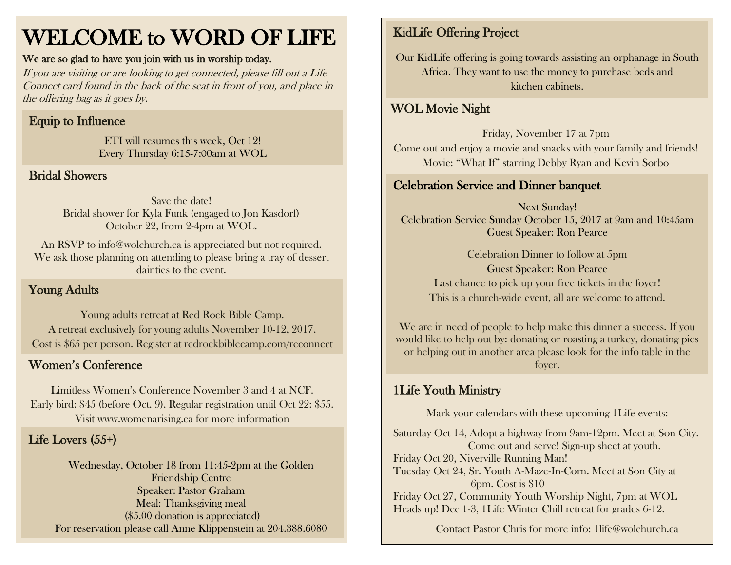# WELCOME to WORD OF LIFE

#### We are so glad to have you join with us in worship today.

If you are visiting or are looking to get connected, please fill out a Life Connect card found in the back of the seat in front of you, and place in the offering bag as it goes by.

#### Equip to Influence

ETI will resumes this week, Oct 12! Every Thursday 6:15-7:00am at WOL

#### Bridal Showers

Save the date! Bridal shower for Kyla Funk (engaged to Jon Kasdorf) October 22, from 2-4pm at WOL.

An RSVP to info@wolchurch.ca is appreciated but not required. We ask those planning on attending to please bring a tray of dessert dainties to the event.

#### Young Adults

Young adults retreat at Red Rock Bible Camp. A retreat exclusively for young adults November 10-12, 2017. Cost is \$65 per person. Register at redrockbiblecamp.com/reconnect

Limitless Women's Conference November 3 and 4 at NCF. Early bird: \$45 (before Oct. 9). Regular registration until Oct 22: \$55. Visit www.womenarising.ca for more information

#### Life Lovers (55+)

Wednesday, October 18 from 11:45-2pm at the Golden Friendship Centre Speaker: Pastor Graham Meal: Thanksgiving meal (\$5.00 donation is appreciated) For reservation please call Anne Klippenstein at 204.388.6080 l

## KidLife Offering Project

Our KidLife offering is going towards assisting an orphanage in South Africa. They want to use the money to purchase beds and kitchen cabinets.

#### $\overline{\phantom{a}}$ WOL Movie Night

Friday, November 17 at 7pm Come out and enjoy a movie and snacks with your family and friends! Movie: "What If" starring Debby Ryan and Kevin Sorbo

#### Celebration Service and Dinner banquet

Next Sunday! Celebration Service Sunday October 15, 2017 at 9am and 10:45am Guest Speaker: Ron Pearce

Celebration Dinner to follow at 5pm Guest Speaker: Ron Pearce Last chance to pick up your free tickets in the foyer! This is a church-wide event, all are welcome to attend.

We are in need of people to help make this dinner a success. If you would like to help out by: donating or roasting a turkey, donating pies or helping out in another area please look for the info table in the Women's Conference for the state of the state of the state of the state of the state of the state of the state of the state of the state of the state of the state of the state of the state of the state of the state of the

### 1Life Youth Ministry

Mark your calendars with these upcoming 1Life events:

Saturday Oct 14, Adopt a highway from 9am-12pm. Meet at Son City. Come out and serve! Sign-up sheet at youth. Friday Oct 20, Niverville Running Man! Tuesday Oct 24, Sr. Youth A-Maze-In-Corn. Meet at Son City at 6pm. Cost is \$10 Friday Oct 27, Community Youth Worship Night, 7pm at WOL Heads up! Dec 1-3, 1Life Winter Chill retreat for grades 6-12.

Contact Pastor Chris for more info: [1life@wolchurch.ca](mailto:1life@wolchurch.ca)